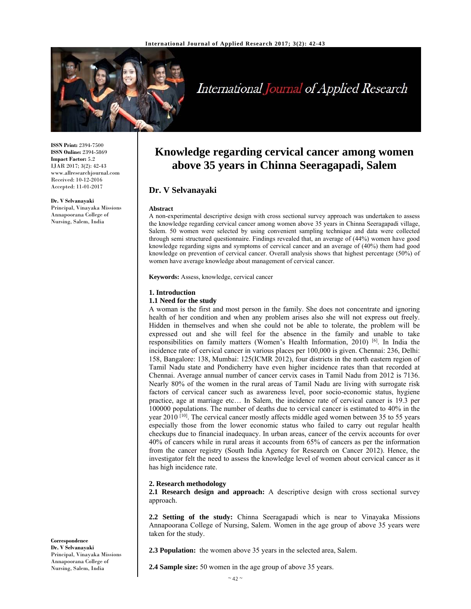

# International Journal of Applied Research

**ISSN Print:** 2394-7500 **ISSN Online:** 2394-5869 **Impact Factor:** 5.2 IJAR 2017; 3(2): 42-43 www.allresearchjournal.com Received: 10-12-2016 Accepted: 11-01-2017

**Dr. V Selvanayaki**  Principal, Vinayaka Missions Annapoorana College of Nursing, Salem, India

## **Knowledge regarding cervical cancer among women above 35 years in Chinna Seeragapadi, Salem**

### **Dr. V Selvanayaki**

#### **Abstract**

A non-experimental descriptive design with cross sectional survey approach was undertaken to assess the knowledge regarding cervical cancer among women above 35 years in Chinna Seeragapadi village, Salem. 50 women were selected by using convenient sampling technique and data were collected through semi structured questionnaire. Findings revealed that, an average of (44%) women have good knowledge regarding signs and symptoms of cervical cancer and an average of (40%) them had good knowledge on prevention of cervical cancer. Overall analysis shows that highest percentage (50%) of women have average knowledge about management of cervical cancer.

**Keywords:** Assess, knowledge, cervical cancer

#### **1. Introduction**

#### **1.1 Need for the study**

A woman is the first and most person in the family. She does not concentrate and ignoring health of her condition and when any problem arises also she will not express out freely. Hidden in themselves and when she could not be able to tolerate, the problem will be expressed out and she will feel for the absence in the family and unable to take responsibilities on family matters (Women's Health Information, 2010)<sup>[6]</sup>. In India the incidence rate of cervical cancer in various places per 100,000 is given. Chennai: 236, Delhi: 158, Bangalore: 138, Mumbai: 125(ICMR 2012), four districts in the north eastern region of Tamil Nadu state and Pondicherry have even higher incidence rates than that recorded at Chennai. Average annual number of cancer cervix cases in Tamil Nadu from 2012 is 7136. Nearly 80% of the women in the rural areas of Tamil Nadu are living with surrogate risk factors of cervical cancer such as awareness level, poor socio-economic status, hygiene practice, age at marriage etc… In Salem, the incidence rate of cervical cancer is 19.3 per 100000 populations. The number of deaths due to cervical cancer is estimated to 40% in the year 2010  $[10]$ . The cervical cancer mostly affects middle aged women between 35 to 55 years especially those from the lower economic status who failed to carry out regular health checkups due to financial inadequacy. In urban areas, cancer of the cervix accounts for over 40% of cancers while in rural areas it accounts from 65% of cancers as per the information from the cancer registry (South India Agency for Research on Cancer 2012). Hence, the investigator felt the need to assess the knowledge level of women about cervical cancer as it has high incidence rate.

#### **2. Research methodology**

**2.1 Research design and approach:** A descriptive design with cross sectional survey approach.

**2.2 Setting of the study:** Chinna Seeragapadi which is near to Vinayaka Missions Annapoorana College of Nursing, Salem. Women in the age group of above 35 years were taken for the study.

**2.3 Population:** the women above 35 years in the selected area, Salem.

**2.4 Sample size:** 50 women in the age group of above 35 years.

 $\sim$  42  $\sim$ 

**Correspondence Dr. V Selvanayaki**  Principal, Vinayaka Missions Annapoorana College of Nursing, Salem, India